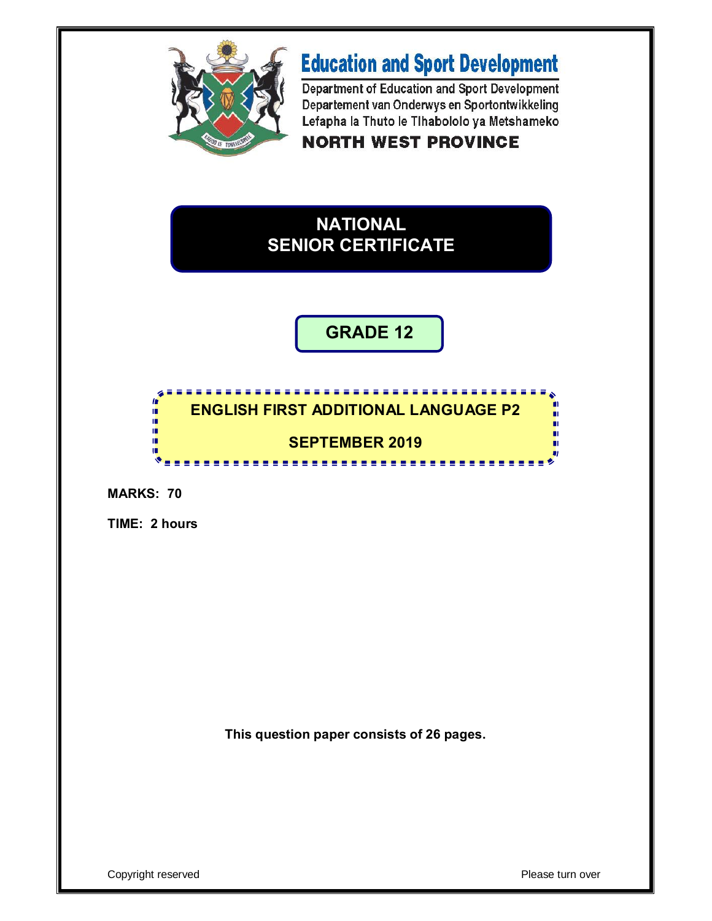

# **Education and Sport Development**

Department of Education and Sport Development Departement van Onderwys en Sportontwikkeling Lefapha la Thuto le Tlhabololo ya Metshameko

## **NORTH WEST PROVINCE**

## **NATIONAL SENIOR CERTIFICATE**

## **GRADE 12**



**MARKS: 70**

**TIME: 2 hours**

**This question paper consists of 26 pages.**

Copyright reserved Please turn over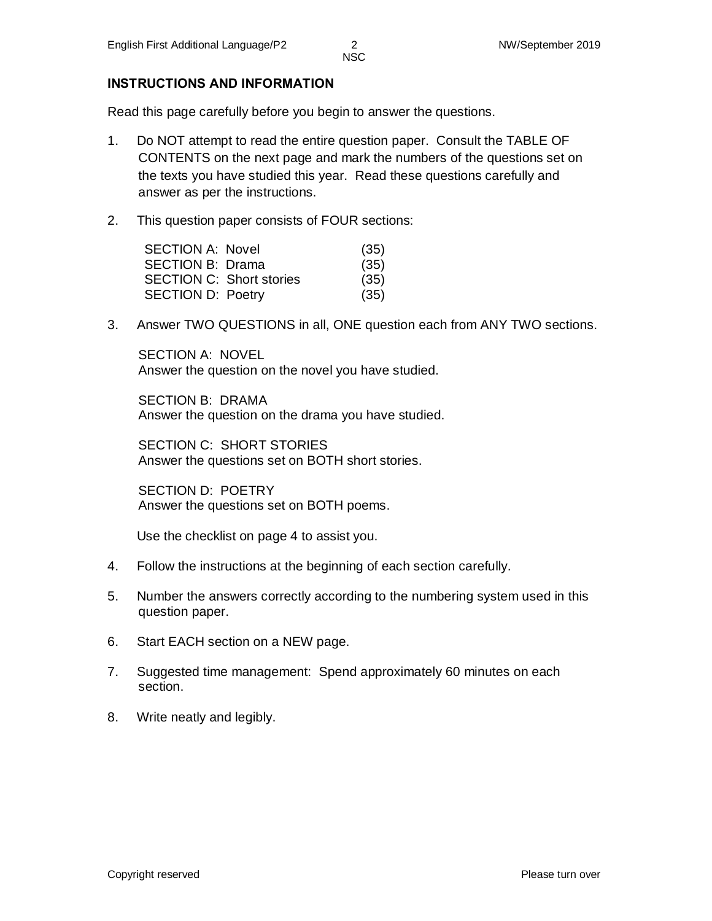#### **INSTRUCTIONS AND INFORMATION**

Read this page carefully before you begin to answer the questions.

- 1. Do NOT attempt to read the entire question paper. Consult the TABLE OF CONTENTS on the next page and mark the numbers of the questions set on the texts you have studied this year. Read these questions carefully and answer as per the instructions.
- 2. This question paper consists of FOUR sections:

| <b>SECTION A: Novel</b>  |                                 | (35) |
|--------------------------|---------------------------------|------|
| SECTION B: Drama         |                                 | (35) |
|                          | <b>SECTION C: Short stories</b> | (35) |
| <b>SECTION D: Poetry</b> |                                 | (35) |

3. Answer TWO QUESTIONS in all, ONE question each from ANY TWO sections.

SECTION A: NOVEL Answer the question on the novel you have studied.

SECTION B: DRAMA Answer the question on the drama you have studied.

SECTION C: SHORT STORIES Answer the questions set on BOTH short stories.

SECTION D: POETRY Answer the questions set on BOTH poems.

Use the checklist on page 4 to assist you.

- 4. Follow the instructions at the beginning of each section carefully.
- 5. Number the answers correctly according to the numbering system used in this question paper.
- 6. Start EACH section on a NEW page.
- 7. Suggested time management: Spend approximately 60 minutes on each section.
- 8. Write neatly and legibly.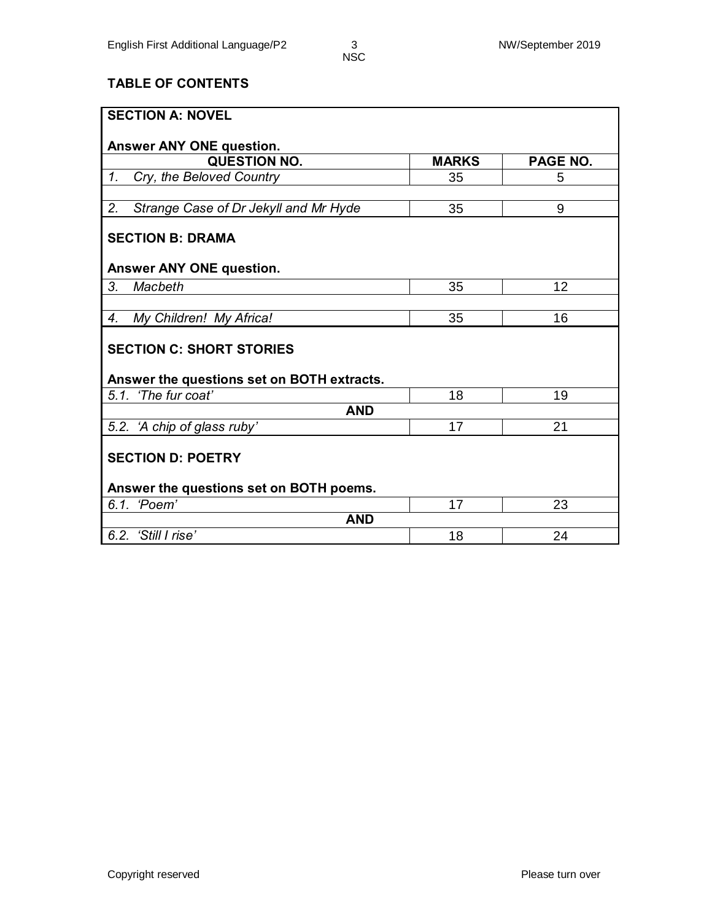## **TABLE OF CONTENTS**

| <b>SECTION A: NOVEL</b>                         |              |          |  |  |  |
|-------------------------------------------------|--------------|----------|--|--|--|
|                                                 |              |          |  |  |  |
| Answer ANY ONE question.<br><b>QUESTION NO.</b> | <b>MARKS</b> | PAGE NO. |  |  |  |
| Cry, the Beloved Country<br>$\mathcal{I}$ .     | 35           | 5        |  |  |  |
|                                                 |              |          |  |  |  |
| 2.<br>Strange Case of Dr Jekyll and Mr Hyde     | 35           | 9        |  |  |  |
| <b>SECTION B: DRAMA</b>                         |              |          |  |  |  |
| <b>Answer ANY ONE question.</b>                 |              |          |  |  |  |
| 3.<br><b>Macbeth</b>                            | 35           | 12       |  |  |  |
|                                                 |              |          |  |  |  |
| My Children! My Africa!<br>4.                   | 35           | 16       |  |  |  |
| <b>SECTION C: SHORT STORIES</b>                 |              |          |  |  |  |
| Answer the questions set on BOTH extracts.      |              |          |  |  |  |
| 5.1. 'The fur coat'                             | 18           | 19       |  |  |  |
| <b>AND</b>                                      |              |          |  |  |  |
| 5.2. 'A chip of glass ruby'                     | 17           | 21       |  |  |  |
| <b>SECTION D: POETRY</b>                        |              |          |  |  |  |
| Answer the questions set on BOTH poems.         |              |          |  |  |  |
| 6.1. 'Poem'                                     | 17           | 23       |  |  |  |
| <b>AND</b>                                      |              |          |  |  |  |
| 6.2. 'Still I rise'                             | 18           | 24       |  |  |  |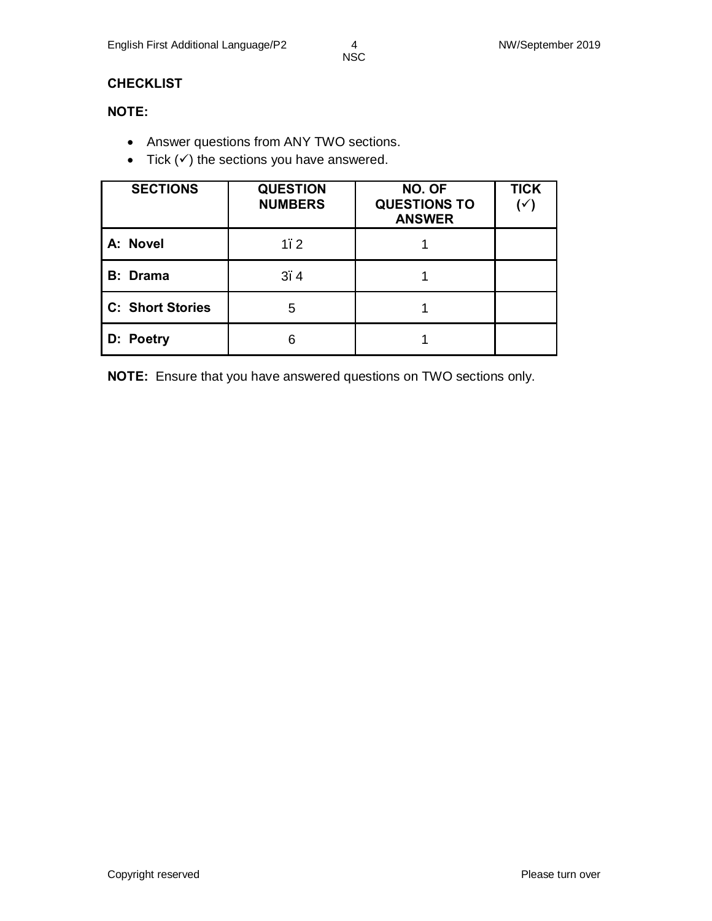### **CHECKLIST**

## **NOTE:**

- · Answer questions from ANY TWO sections.
- Tick  $($ ) the sections you have answered.

| <b>SECTIONS</b>         | <b>QUESTION</b><br><b>NUMBERS</b> | NO. OF<br><b>QUESTIONS TO</b><br><b>ANSWER</b> | <b>TICK</b><br>$(\check{ }')$ |
|-------------------------|-----------------------------------|------------------------------------------------|-------------------------------|
| A: Novel                | 1, 2                              |                                                |                               |
| <b>B:</b> Drama         | 3.4                               |                                                |                               |
| <b>C: Short Stories</b> | 5                                 |                                                |                               |
| D: Poetry               | 6                                 |                                                |                               |

**NOTE:** Ensure that you have answered questions on TWO sections only.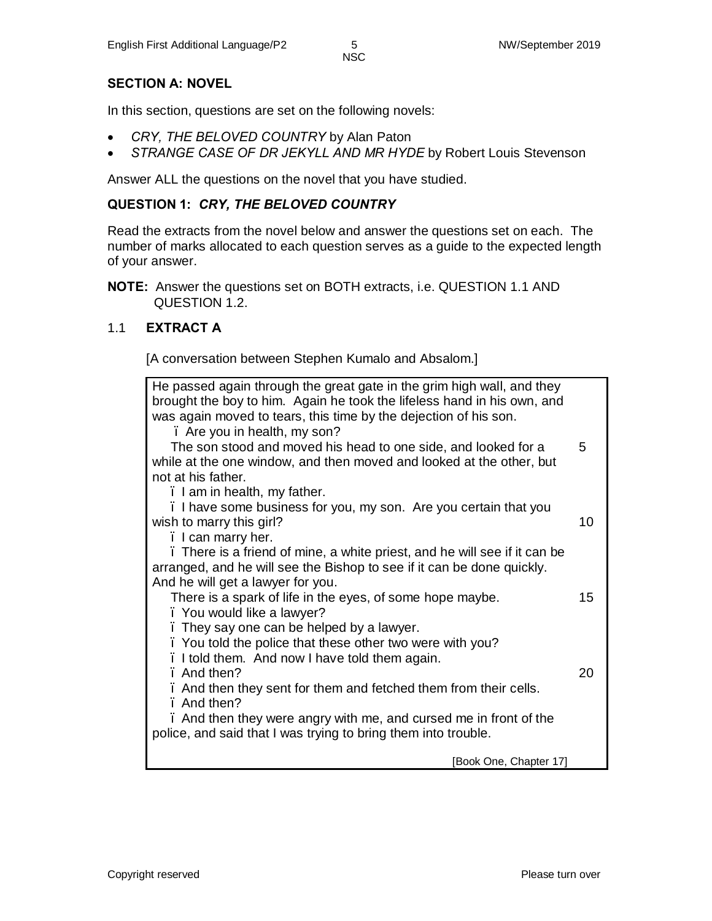#### **SECTION A: NOVEL**

In this section, questions are set on the following novels:

- · *CRY, THE BELOVED COUNTRY* by Alan Paton
- · *STRANGE CASE OF DR JEKYLL AND MR HYDE* by Robert Louis Stevenson

Answer ALL the questions on the novel that you have studied.

#### **QUESTION 1:** *CRY, THE BELOVED COUNTRY*

Read the extracts from the novel below and answer the questions set on each. The number of marks allocated to each question serves as a guide to the expected length of your answer.

**NOTE:** Answer the questions set on BOTH extracts, i.e. QUESTION 1.1 AND QUESTION 1.2.

#### 1.1 **EXTRACT A**

[A conversation between Stephen Kumalo and Absalom.]

| He passed again through the great gate in the grim high wall, and they<br>brought the boy to him. Again he took the lifeless hand in his own, and |    |
|---------------------------------------------------------------------------------------------------------------------------------------------------|----|
| was again moved to tears, this time by the dejection of his son.<br>. Are you in health, my son?                                                  |    |
|                                                                                                                                                   | 5  |
| The son stood and moved his head to one side, and looked for a<br>while at the one window, and then moved and looked at the other, but            |    |
| not at his father.                                                                                                                                |    |
| . I am in health, my father.                                                                                                                      |    |
| . I have some business for you, my son. Are you certain that you                                                                                  |    |
| wish to marry this girl?                                                                                                                          | 10 |
| . I can marry her.                                                                                                                                |    |
| . There is a friend of mine, a white priest, and he will see if it can be                                                                         |    |
| arranged, and he will see the Bishop to see if it can be done quickly.                                                                            |    |
| And he will get a lawyer for you.                                                                                                                 |    |
| There is a spark of life in the eyes, of some hope maybe.                                                                                         | 15 |
| . You would like a lawyer?                                                                                                                        |    |
| . They say one can be helped by a lawyer.                                                                                                         |    |
| . You told the police that these other two were with you?                                                                                         |    |
| . I told them. And now I have told them again.                                                                                                    |    |
| . And then?                                                                                                                                       | 20 |
| . And then they sent for them and fetched them from their cells.                                                                                  |    |
| . And then?                                                                                                                                       |    |
| . And then they were angry with me, and cursed me in front of the                                                                                 |    |
| police, and said that I was trying to bring them into trouble.                                                                                    |    |
| [Book One, Chapter 17]                                                                                                                            |    |
|                                                                                                                                                   |    |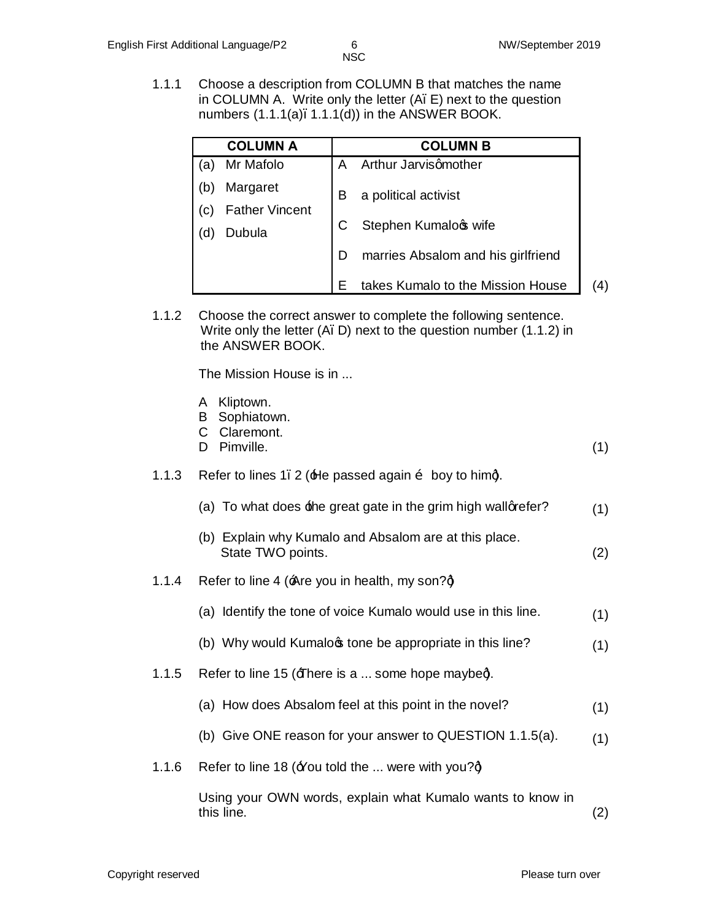1.1.1 Choose a description from COLUMN B that matches the name in COLUMN A. Write only the letter  $(A, E)$  next to the question numbers  $(1.1.1(a), 1.1.1(d))$  in the ANSWER BOOK.

|     | <b>COLUMN A</b>       |   | <b>COLUMN B</b>                    |
|-----|-----------------------|---|------------------------------------|
| a   | Mr Mafolo             | A | Arthur Jarvisqmother               |
| (b  | Margaret              | В | a political activist               |
| (C) | <b>Father Vincent</b> |   |                                    |
|     | Dubula                |   | Stephen Kumalos wife               |
|     |                       | D | marries Absalom and his girlfriend |
|     |                       |   | takes Kumalo to the Mission House  |

1.1.2 Choose the correct answer to complete the following sentence. Write only the letter (A. D) next to the question number (1.1.2) in the ANSWER BOOK.

The Mission House is in ...

| A Kliptown. |  |
|-------------|--|
|             |  |

- B Sophiatown.
- C Claremont.
- D Pimville. (1)

#### 1.1.3 Refer to lines 1. 2 ( $\pm$ le passed again  $\delta$  boy to himd.

- (a) To what does  $\pm$ he great gate in the grim high wall quefer?  $(1)$
- (b) Explain why Kumalo and Absalom are at this place. State TWO points. (2)
- 1.1.4 Refer to line 4 ( $\angle$ Are you in health, my son? $\dot{q}$ 
	- (a) Identify the tone of voice Kumalo would use in this line.  $(1)$
	- (b) Why would Kumalo  $\phi$  tone be appropriate in this line?  $(1)$
- 1.1.5 Refer to line 15 ( $\pm$  here is a ... some hope maybed.
	- (a) How does Absalom feel at this point in the novel? (1)
	- (b) Give ONE reason for your answer to QUESTION 1.1.5(a).  $(1)$
- 1.1.6 Refer to line 18 ( $\angle$ You told the ... were with you? $\dot{q}$

Using your OWN words, explain what Kumalo wants to know in this line. (2)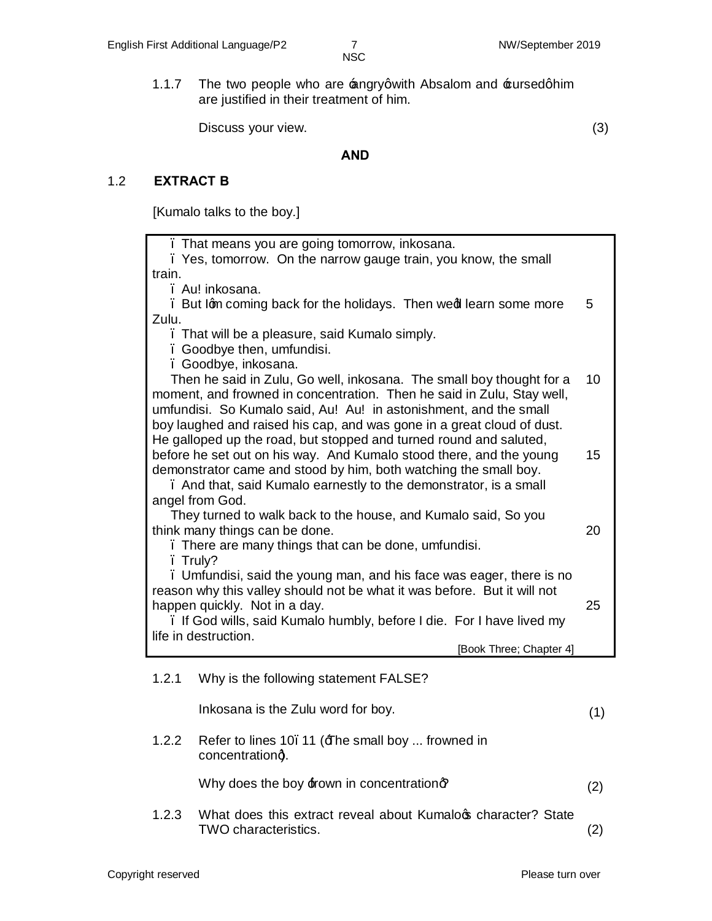1.1.7 The two people who are  $\triangle$ ngryqwith Absalom and  $\triangle$ ursedghim are justified in their treatment of him.

Discuss your view. (3)

#### **AND**

## 1.2 **EXTRACT B**

[Kumalo talks to the boy*.*]

|                 | . That means you are going tomorrow, inkosana.<br>. Yes, tomorrow. On the narrow gauge train, you know, the small                                                                                                                                                                                                                                                                                                                 |     |  |  |
|-----------------|-----------------------------------------------------------------------------------------------------------------------------------------------------------------------------------------------------------------------------------------------------------------------------------------------------------------------------------------------------------------------------------------------------------------------------------|-----|--|--|
| train.          |                                                                                                                                                                                                                                                                                                                                                                                                                                   |     |  |  |
|                 | . Au! inkosana.                                                                                                                                                                                                                                                                                                                                                                                                                   |     |  |  |
| Zulu.           | . But Ign coming back for the holidays. Then wed learn some more                                                                                                                                                                                                                                                                                                                                                                  | 5   |  |  |
|                 | . That will be a pleasure, said Kumalo simply.<br>. Goodbye then, umfundisi.<br>. Goodbye, inkosana.                                                                                                                                                                                                                                                                                                                              |     |  |  |
|                 | Then he said in Zulu, Go well, inkosana. The small boy thought for a<br>moment, and frowned in concentration. Then he said in Zulu, Stay well,                                                                                                                                                                                                                                                                                    | 10  |  |  |
| angel from God. | umfundisi. So Kumalo said, Au! Au! in astonishment, and the small<br>boy laughed and raised his cap, and was gone in a great cloud of dust.<br>He galloped up the road, but stopped and turned round and saluted,<br>before he set out on his way. And Kumalo stood there, and the young<br>demonstrator came and stood by him, both watching the small boy.<br>. And that, said Kumalo earnestly to the demonstrator, is a small |     |  |  |
|                 | They turned to walk back to the house, and Kumalo said, So you<br>think many things can be done.<br>. There are many things that can be done, umfundisi.                                                                                                                                                                                                                                                                          |     |  |  |
|                 | . Truly?<br>. Umfundisi, said the young man, and his face was eager, there is no<br>reason why this valley should not be what it was before. But it will not<br>happen quickly. Not in a day.                                                                                                                                                                                                                                     |     |  |  |
|                 | . If God wills, said Kumalo humbly, before I die. For I have lived my                                                                                                                                                                                                                                                                                                                                                             | 25  |  |  |
|                 | life in destruction.<br>[Book Three; Chapter 4]                                                                                                                                                                                                                                                                                                                                                                                   |     |  |  |
| 1.2.1           | Why is the following statement FALSE?                                                                                                                                                                                                                                                                                                                                                                                             |     |  |  |
|                 | Inkosana is the Zulu word for boy.                                                                                                                                                                                                                                                                                                                                                                                                | (1) |  |  |
| 1.2.2           | Refer to lines 10. 11 (The small boy  frowned in<br>concentrationg.                                                                                                                                                                                                                                                                                                                                                               |     |  |  |
|                 | Why does the boy frown in concentration?                                                                                                                                                                                                                                                                                                                                                                                          | (2) |  |  |
| 1.2.3           | What does this extract reveal about Kumaloc character? State<br><b>TWO characteristics.</b>                                                                                                                                                                                                                                                                                                                                       | (2) |  |  |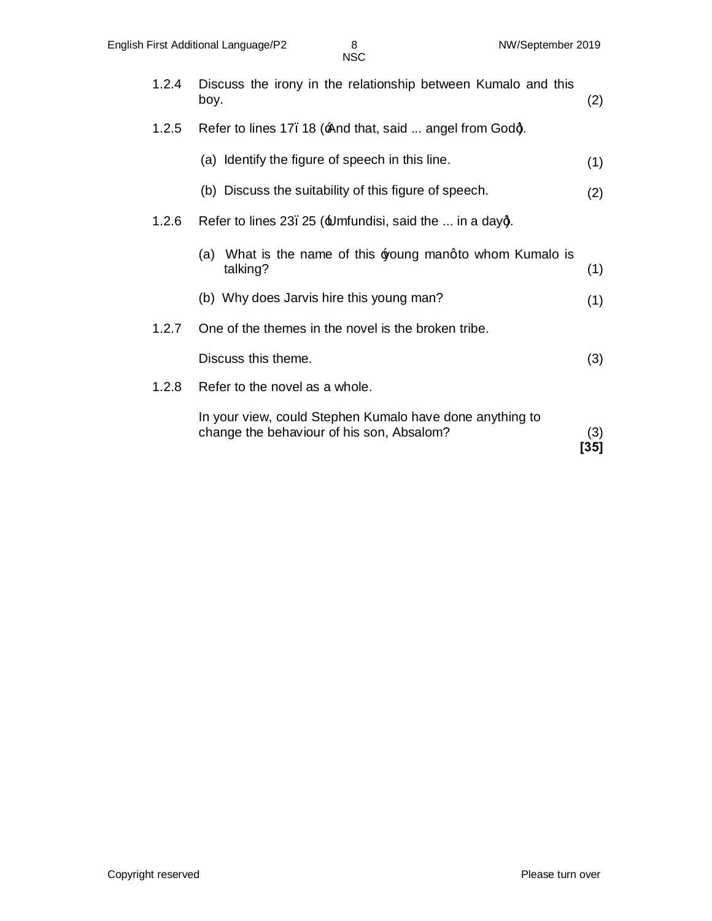| 1.2.4 | Discuss the irony in the relationship between Kumalo and this<br>boy.                                 | (2)         |
|-------|-------------------------------------------------------------------------------------------------------|-------------|
| 1.2.5 | Refer to lines 17. 18 (And that, said  angel from Godg.                                               |             |
|       | (a) Identify the figure of speech in this line.                                                       | (1)         |
|       | (b) Discuss the suitability of this figure of speech.                                                 | (2)         |
| 1.2.6 | Refer to lines 23. 25 ( $\pm$ Imfundisi, said the  in a dayg.                                         |             |
|       | What is the name of this $\frac{1}{2}$ poung mangto whom Kumalo is<br>(a)<br>talking?                 | (1)         |
|       | (b) Why does Jarvis hire this young man?                                                              | (1)         |
| 1.2.7 | One of the themes in the novel is the broken tribe.                                                   |             |
|       | Discuss this theme.                                                                                   | (3)         |
| 1.2.8 | Refer to the novel as a whole.                                                                        |             |
|       | In your view, could Stephen Kumalo have done anything to<br>change the behaviour of his son, Absalom? | (3)<br>[35] |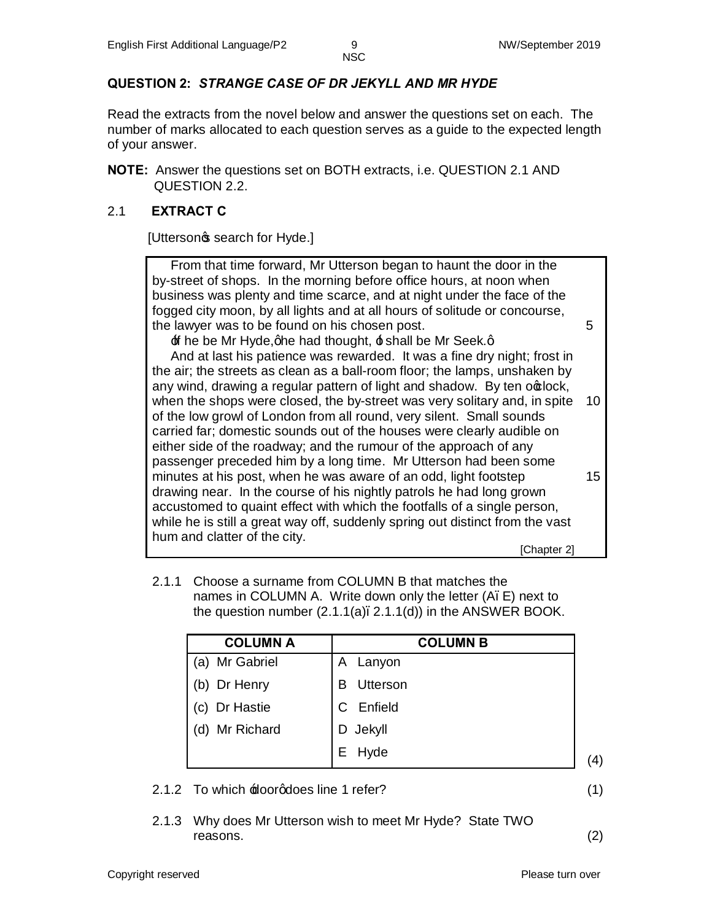## **QUESTION 2:** *STRANGE CASE OF DR JEKYLL AND MR HYDE*

Read the extracts from the novel below and answer the questions set on each. The number of marks allocated to each question serves as a guide to the expected length of your answer.

**NOTE:** Answer the questions set on BOTH extracts, i.e. QUESTION 2.1 AND QUESTION 2.2.

#### 2.1 **EXTRACT C**

[Utterson<sub>"</sub>s search for Hyde.]

| From that time forward, Mr Utterson began to haunt the door in the<br>by-street of shops. In the morning before office hours, at noon when |    |
|--------------------------------------------------------------------------------------------------------------------------------------------|----|
| business was plenty and time scarce, and at night under the face of the                                                                    |    |
| fogged city moon, by all lights and at all hours of solitude or concourse,                                                                 |    |
| the lawyer was to be found on his chosen post.                                                                                             | 5  |
| $\pm$ f he be Mr Hyde, ghe had thought, $\pm$ shall be Mr Seek. g                                                                          |    |
| And at last his patience was rewarded. It was a fine dry night; frost in                                                                   |    |
| the air; the streets as clean as a ball-room floor; the lamps, unshaken by                                                                 |    |
| any wind, drawing a regular pattern of light and shadow. By ten octlock,                                                                   |    |
| when the shops were closed, the by-street was very solitary and, in spite                                                                  | 10 |
| of the low growl of London from all round, very silent. Small sounds                                                                       |    |
| carried far; domestic sounds out of the houses were clearly audible on                                                                     |    |
| either side of the roadway; and the rumour of the approach of any                                                                          |    |
| passenger preceded him by a long time. Mr Utterson had been some                                                                           |    |
| minutes at his post, when he was aware of an odd, light footstep                                                                           | 15 |
| drawing near. In the course of his nightly patrols he had long grown                                                                       |    |
| accustomed to quaint effect with which the footfalls of a single person,                                                                   |    |
| while he is still a great way off, suddenly spring out distinct from the vast                                                              |    |
| hum and clatter of the city.                                                                                                               |    |
| [Chapter 2]                                                                                                                                |    |

2.1.1 Choose a surname from COLUMN B that matches the names in COLUMN A. Write down only the letter (A. E) next to the question number  $(2.1.1(a), 2.1.1(d))$  in the ANSWER BOOK.

| <b>COLUMN A</b>   | <b>COLUMN B</b> |                   |
|-------------------|-----------------|-------------------|
| (a) Mr Gabriel    | Lanyon<br>A     |                   |
| (b) Dr Henry      | Utterson        |                   |
| (c) Dr Hastie     | Enfield         |                   |
| Mr Richard<br>(d) | D Jekyll        |                   |
|                   | Hyde<br>Е       | $\left( 4\right)$ |

#### 2.1.2 To which  $\pm$ loorgdoes line 1 refer? (1)

#### 2.1.3 Why does Mr Utterson wish to meet Mr Hyde? State TWO reasons. (2)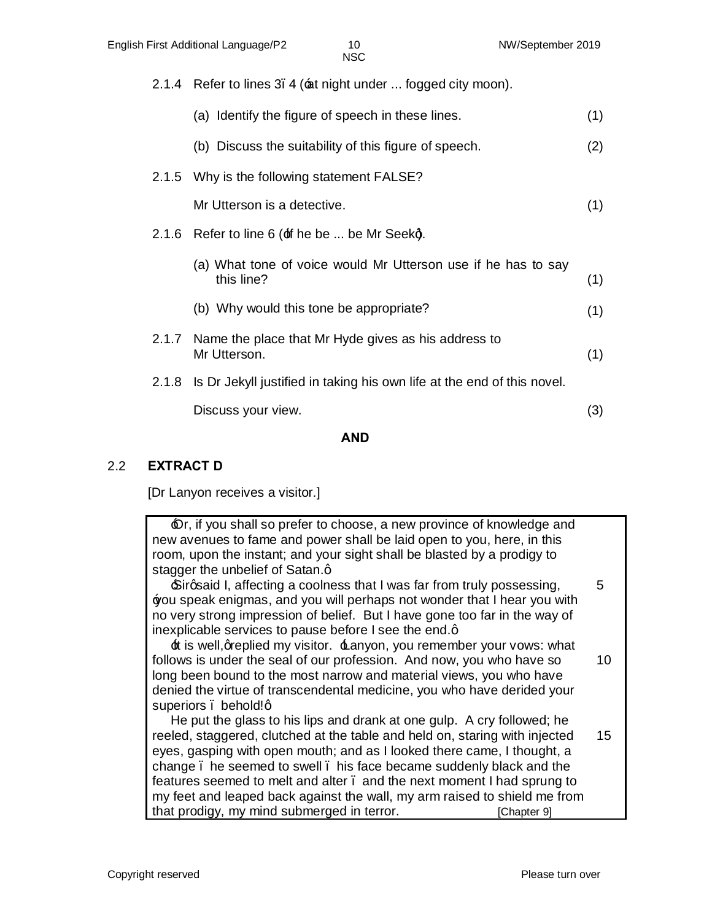|       | English First Additional Language/P2                  | 10<br><b>NSC</b>                                                              | NW/September 2019 |
|-------|-------------------------------------------------------|-------------------------------------------------------------------------------|-------------------|
|       |                                                       | 2.1.4 Refer to lines 3. 4 (ant night under  fogged city moon).                |                   |
|       | (a) Identify the figure of speech in these lines.     |                                                                               | (1)               |
|       | (b) Discuss the suitability of this figure of speech. |                                                                               | (2)               |
|       | 2.1.5 Why is the following statement FALSE?           |                                                                               |                   |
|       | Mr Utterson is a detective.                           |                                                                               | (1)               |
|       | 2.1.6 Refer to line 6 (±f he be  be Mr Seekg.         |                                                                               |                   |
|       | this line?                                            | (a) What tone of voice would Mr Utterson use if he has to say                 | (1)               |
|       | (b) Why would this tone be appropriate?               |                                                                               | (1)               |
| 2.1.7 | Mr Utterson.                                          | Name the place that Mr Hyde gives as his address to                           | (1)               |
|       |                                                       | 2.1.8 Is Dr Jekyll justified in taking his own life at the end of this novel. |                   |

Discuss your view. (3)

#### **AND**

#### 2.2 **EXTRACT D**

[Dr Lanyon receives a visitor*.*]

 $\mathbf{\Theta}$ r, if you shall so prefer to choose, a new province of knowledge and new avenues to fame and power shall be laid open to you, here, in this room, upon the instant; and your sight shall be blasted by a prodigy to stagger the unbelief of Satan.q

 $\mathbf S$ irgsaid I, affecting a coolness that I was far from truly possessing, 'you speak enigmas, and you will perhaps not wonder that I hear you with no very strong impression of belief. But I have gone too far in the way of inexplicable services to pause before I see the end.q 5

 $\pm$  is well, greplied my visitor.  $\pm$  anyon, you remember your vows: what follows is under the seal of our profession. And now, you who have so long been bound to the most narrow and material views, you who have denied the virtue of transcendental medicine, you who have derided your superiors , behold!a 10

 He put the glass to his lips and drank at one gulp. A cry followed; he reeled, staggered, clutched at the table and held on, staring with injected eyes, gasping with open mouth; and as I looked there came, I thought, a change – he seemed to swell – his face became suddenly black and the features seemed to melt and alter. and the next moment I had sprung to my feet and leaped back against the wall, my arm raised to shield me from that prodigy, my mind submerged in terror. [Chapter 9] 15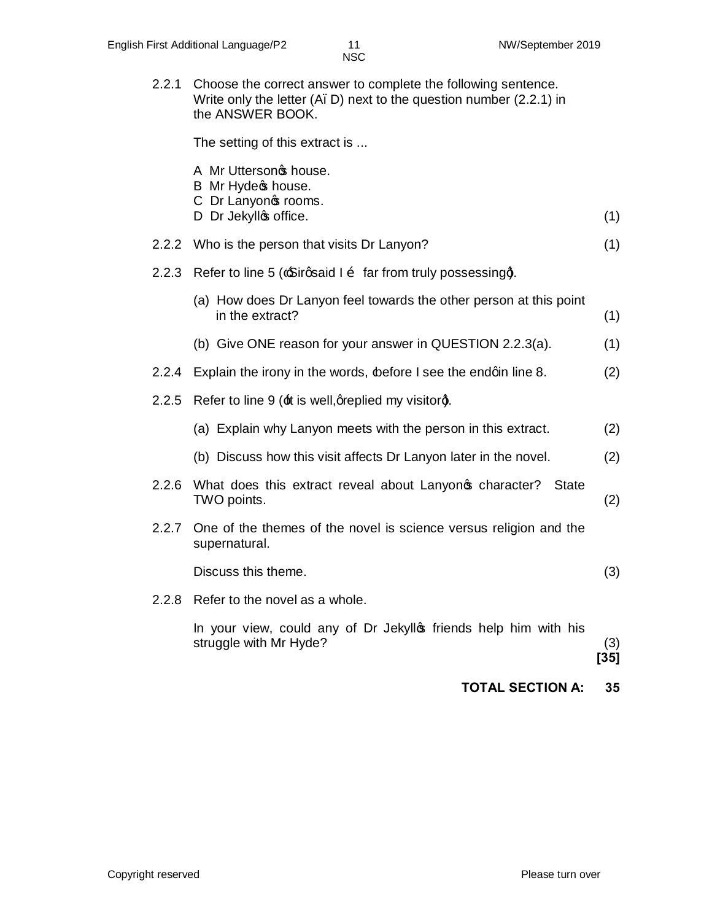2.2.1 Choose the correct answer to complete the following sentence. Write only the letter (A. D) next to the question number (2.2.1) in the ANSWER BOOK.

The setting of this extract is ...

|       | A Mr Uttersonos house.<br>B Mr Hydec house.                                                |               |
|-------|--------------------------------------------------------------------------------------------|---------------|
|       | C Dr Lanyonos rooms.<br>D Dr Jekyllos office.                                              | (1)           |
|       | 2.2.2 Who is the person that visits Dr Lanyon?                                             | (1)           |
| 2.2.3 | Refer to line 5 ( $\pm$ Sirgsaid I $\tilde{o}$ far from truly possessing).                 |               |
|       | (a) How does Dr Lanyon feel towards the other person at this point<br>in the extract?      | (1)           |
|       | (b) Give ONE reason for your answer in QUESTION 2.2.3(a).                                  | (1)           |
| 2.2.4 | Explain the irony in the words, before I see the endqin line 8.                            | (2)           |
| 2.2.5 | Refer to line 9 (±t is well, greplied my visitorg.                                         |               |
|       | (a) Explain why Lanyon meets with the person in this extract.                              | (2)           |
|       | (b) Discuss how this visit affects Dr Lanyon later in the novel.                           | (2)           |
| 2.2.6 | What does this extract reveal about Lanyon operator? State<br>TWO points.                  | (2)           |
| 2.2.7 | One of the themes of the novel is science versus religion and the<br>supernatural.         |               |
|       | Discuss this theme.                                                                        | (3)           |
|       | 2.2.8 Refer to the novel as a whole.                                                       |               |
|       | In your view, could any of Dr Jekyllos friends help him with his<br>struggle with Mr Hyde? | (3)<br>$[35]$ |
|       | <b>TOTAL SECTION A:</b>                                                                    | 35            |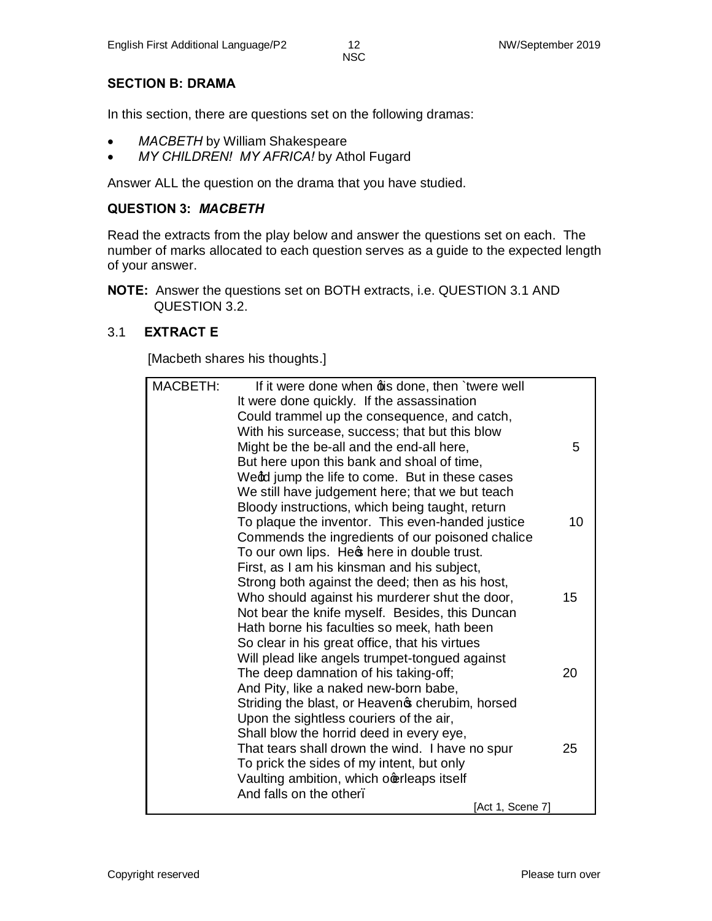#### **SECTION B: DRAMA**

In this section, there are questions set on the following dramas:

- · *MACBETH* by William Shakespeare
- · *MY CHILDREN! MY AFRICA!* by Athol Fugard

Answer ALL the question on the drama that you have studied.

#### **QUESTION 3:** *MACBETH*

Read the extracts from the play below and answer the questions set on each. The number of marks allocated to each question serves as a guide to the expected length of your answer.

**NOTE:** Answer the questions set on BOTH extracts, i.e. QUESTION 3.1 AND QUESTION 3.2.

#### 3.1 **EXTRACT E**

[Macbeth shares his thoughts.]

| <b>MACBETH:</b> | If it were done when dis done, then 'twere well  |    |
|-----------------|--------------------------------------------------|----|
|                 | It were done quickly. If the assassination       |    |
|                 | Could trammel up the consequence, and catch,     |    |
|                 | With his surcease, success; that but this blow   |    |
|                 | Might be the be-all and the end-all here,        | 5  |
|                 | But here upon this bank and shoal of time,       |    |
|                 | Wedd jump the life to come. But in these cases   |    |
|                 | We still have judgement here; that we but teach  |    |
|                 | Bloody instructions, which being taught, return  |    |
|                 | To plaque the inventor. This even-handed justice | 10 |
|                 | Commends the ingredients of our poisoned chalice |    |
|                 | To our own lips. Hes here in double trust.       |    |
|                 | First, as I am his kinsman and his subject,      |    |
|                 | Strong both against the deed; then as his host,  |    |
|                 | Who should against his murderer shut the door,   | 15 |
|                 | Not bear the knife myself. Besides, this Duncan  |    |
|                 | Hath borne his faculties so meek, hath been      |    |
|                 | So clear in his great office, that his virtues   |    |
|                 | Will plead like angels trumpet-tongued against   |    |
|                 | The deep damnation of his taking-off;            | 20 |
|                 | And Pity, like a naked new-born babe,            |    |
|                 | Striding the blast, or Heaven pcherubim, horsed  |    |
|                 | Upon the sightless couriers of the air,          |    |
|                 | Shall blow the horrid deed in every eye,         |    |
|                 | That tears shall drown the wind. I have no spur  | 25 |
|                 | To prick the sides of my intent, but only        |    |
|                 | Vaulting ambition, which ocerleaps itself        |    |
|                 | And falls on the other.                          |    |
|                 | [Act 1, Scene 7]                                 |    |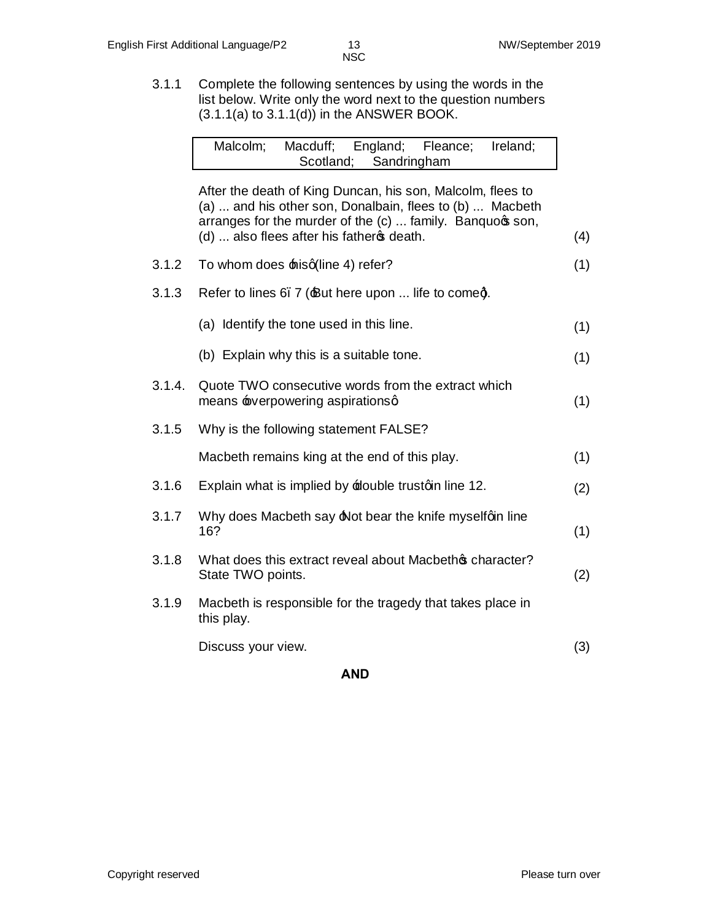3.1.1 Complete the following sentences by using the words in the list below. Write only the word next to the question numbers  $(3.1.1(a)$  to  $3.1.1(d)$ ) in the ANSWER BOOK.

|        | Malcolm;<br>Macduff; England; Fleance; Ireland;<br>Scotland;<br>Sandringham                                                                                                                                                       |     |
|--------|-----------------------------------------------------------------------------------------------------------------------------------------------------------------------------------------------------------------------------------|-----|
|        | After the death of King Duncan, his son, Malcolm, flees to<br>(a)  and his other son, Donalbain, flees to (b)  Macbeth<br>arranges for the murder of the (c)  family. Banquoqs son,<br>(d)  also flees after his father of death. | (4) |
| 3.1.2  | To whom does hisq(line 4) refer?                                                                                                                                                                                                  | (1) |
| 3.1.3  | Refer to lines 6. 7 (But here upon  life to comed.                                                                                                                                                                                |     |
|        | (a) Identify the tone used in this line.                                                                                                                                                                                          | (1) |
|        | (b) Explain why this is a suitable tone.                                                                                                                                                                                          | (1) |
| 3.1.4. | Quote TWO consecutive words from the extract which<br>means severpowering aspirationsq                                                                                                                                            | (1) |
| 3.1.5  | Why is the following statement FALSE?                                                                                                                                                                                             |     |
|        | Macbeth remains king at the end of this play.                                                                                                                                                                                     | (1) |
| 3.1.6  | Explain what is implied by <b>E</b> double trustoin line 12.                                                                                                                                                                      | (2) |
| 3.1.7  | Why does Macbeth say A ot bear the knife myselfqin line<br>16?                                                                                                                                                                    | (1) |
| 3.1.8  | What does this extract reveal about Macbethos character?<br>State TWO points.                                                                                                                                                     | (2) |
| 3.1.9  | Macbeth is responsible for the tragedy that takes place in<br>this play.                                                                                                                                                          |     |
|        | Discuss your view.                                                                                                                                                                                                                | (3) |

#### **AND**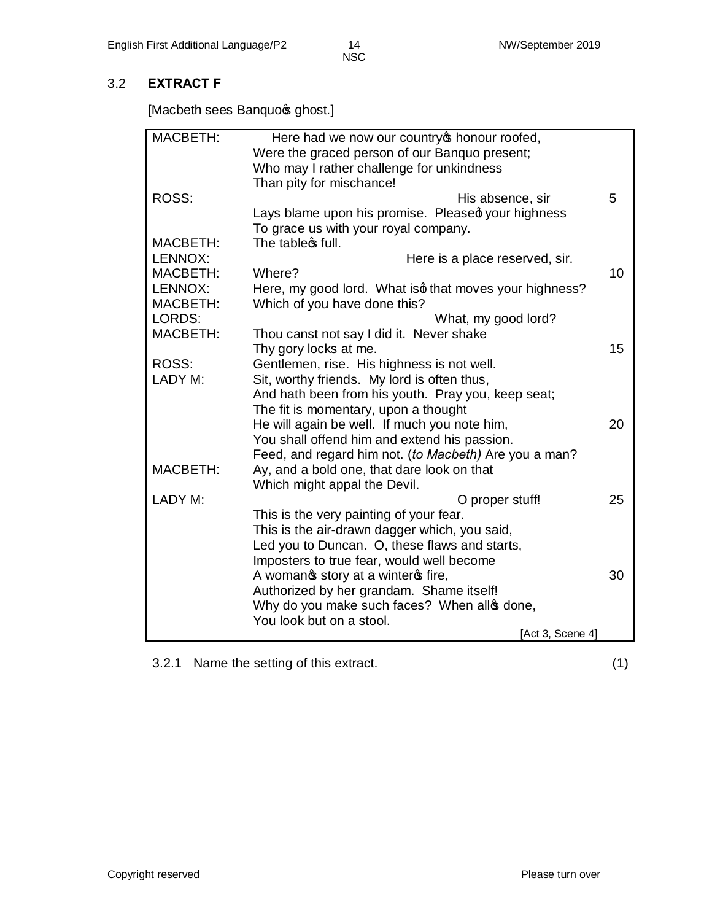### 3.2 **EXTRACT F**

[Macbeth sees Banquo<sub>\$</sub> ghost.]

| MACBETH:                   | Here had we now our country op honour roofed,                                          |    |
|----------------------------|----------------------------------------------------------------------------------------|----|
|                            | Were the graced person of our Banquo present;                                          |    |
|                            | Who may I rather challenge for unkindness                                              |    |
|                            | Than pity for mischance!                                                               |    |
| ROSS:                      | His absence, sir                                                                       | 5  |
|                            | Lays blame upon his promise. Pleased your highness                                     |    |
|                            | To grace us with your royal company.                                                   |    |
| <b>MACBETH:</b>            | The table of full.                                                                     |    |
| LENNOX:                    | Here is a place reserved, sir.                                                         |    |
| <b>MACBETH:</b>            | Where?                                                                                 | 10 |
| LENNOX:<br><b>MACBETH:</b> | Here, my good lord. What isd that moves your highness?<br>Which of you have done this? |    |
| LORDS:                     | What, my good lord?                                                                    |    |
| <b>MACBETH:</b>            | Thou canst not say I did it. Never shake                                               |    |
|                            | Thy gory locks at me.                                                                  | 15 |
| ROSS:                      | Gentlemen, rise. His highness is not well.                                             |    |
| LADY M:                    | Sit, worthy friends. My lord is often thus,                                            |    |
|                            | And hath been from his youth. Pray you, keep seat;                                     |    |
|                            | The fit is momentary, upon a thought                                                   |    |
|                            | He will again be well. If much you note him,                                           | 20 |
|                            | You shall offend him and extend his passion.                                           |    |
|                            | Feed, and regard him not. (to Macbeth) Are you a man?                                  |    |
| <b>MACBETH:</b>            | Ay, and a bold one, that dare look on that                                             |    |
|                            | Which might appal the Devil.                                                           |    |
| LADY M:                    | O proper stuff!                                                                        | 25 |
|                            | This is the very painting of your fear.                                                |    |
|                            | This is the air-drawn dagger which, you said,                                          |    |
|                            | Led you to Duncan. O, these flaws and starts,                                          |    |
|                            | Imposters to true fear, would well become                                              |    |
|                            | A womanos story at a winteros fire,                                                    | 30 |
|                            | Authorized by her grandam. Shame itself!                                               |    |
|                            | Why do you make such faces? When allo done,                                            |    |
|                            | You look but on a stool.                                                               |    |
|                            | [Act 3, Scene 4]                                                                       |    |

3.2.1 Name the setting of this extract. (1)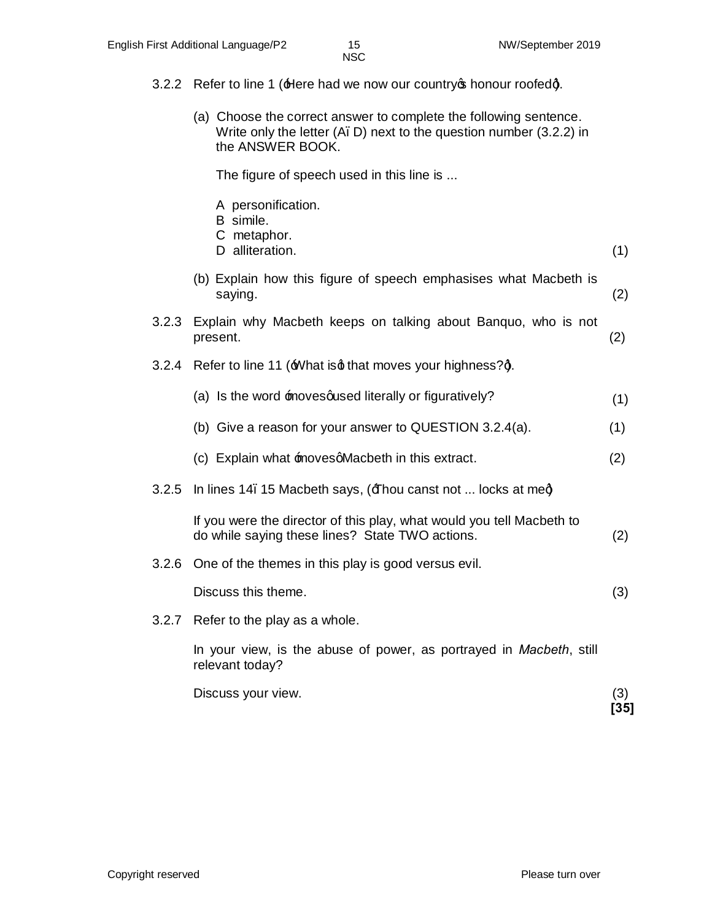- 3.2.2 Refer to line 1 (Here had we now our country op honour roofedd).
	- (a) Choose the correct answer to complete the following sentence. Write only the letter (A–D) next to the question number (3.2.2) in the ANSWER BOOK.

The figure of speech used in this line is ...

|       | A personification.<br>B simile.<br>C metaphor.<br>D alliteration.                                                        | (1) |
|-------|--------------------------------------------------------------------------------------------------------------------------|-----|
|       | (b) Explain how this figure of speech emphasises what Macbeth is<br>saying.                                              | (2) |
| 3.2.3 | Explain why Macbeth keeps on talking about Banquo, who is not<br>present.                                                | (2) |
| 3.2.4 | Refer to line 11 (What isd that moves your highness?d.                                                                   |     |
|       | (a) Is the word movesqused literally or figuratively?                                                                    | (1) |
|       | (b) Give a reason for your answer to QUESTION 3.2.4(a).                                                                  | (1) |
|       | (c) Explain what movesqMacbeth in this extract.                                                                          | (2) |
| 3.2.5 | In lines 14. 15 Macbeth says, ( $\pm$ hou canst not  locks at meg)                                                       |     |
|       | If you were the director of this play, what would you tell Macbeth to<br>do while saying these lines? State TWO actions. | (2) |
| 3.2.6 | One of the themes in this play is good versus evil.                                                                      |     |
|       | Discuss this theme.                                                                                                      | (3) |
|       | 3.2.7 Refer to the play as a whole.                                                                                      |     |
|       | In your view, is the abuse of power, as portrayed in Macbeth, still<br>relevant today?                                   |     |
|       |                                                                                                                          |     |

Discuss your view. (3) **[35]**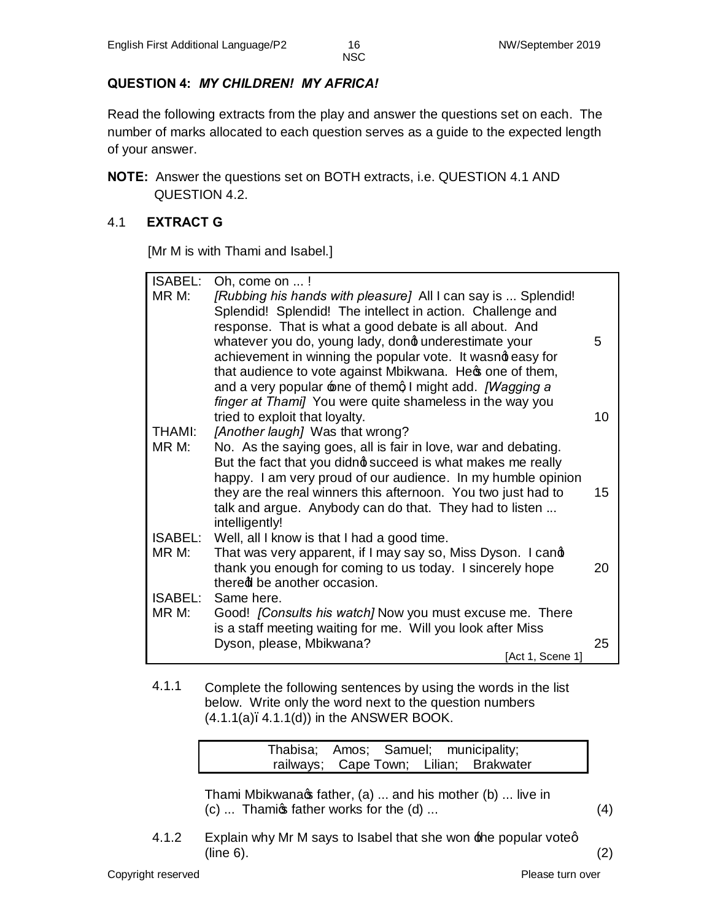## **QUESTION 4:** *MY CHILDREN! MY AFRICA!*

Read the following extracts from the play and answer the questions set on each. The number of marks allocated to each question serves as a guide to the expected length of your answer.

**NOTE:** Answer the questions set on BOTH extracts, i.e. QUESTION 4.1 AND QUESTION 4.2.

## 4.1 **EXTRACT G**

[Mr M is with Thami and Isabel.]

| <b>ISABEL:</b>         | Oh, come on !                                                                                                                 |    |
|------------------------|-------------------------------------------------------------------------------------------------------------------------------|----|
| MR M:                  | [Rubbing his hands with pleasure] All I can say is  Splendid!                                                                 |    |
|                        | Splendid! Splendid! The intellect in action. Challenge and                                                                    |    |
|                        | response. That is what a good debate is all about. And                                                                        |    |
|                        | whatever you do, young lady, dond underestimate your                                                                          | 5  |
|                        | achievement in winning the popular vote. It wasnot easy for                                                                   |    |
|                        | that audience to vote against Mbikwana. Hec one of them,                                                                      |    |
|                        | and a very popular one of themal might add. [Wagging a                                                                        |    |
|                        | finger at Thami] You were quite shameless in the way you                                                                      |    |
|                        | tried to exploit that loyalty.                                                                                                | 10 |
| <b>THAMI:</b><br>MR M: | [Another laugh] Was that wrong?                                                                                               |    |
|                        | No. As the saying goes, all is fair in love, war and debating.<br>But the fact that you didno succeed is what makes me really |    |
|                        | happy. I am very proud of our audience. In my humble opinion                                                                  |    |
|                        | they are the real winners this afternoon. You two just had to                                                                 | 15 |
|                        | talk and argue. Anybody can do that. They had to listen                                                                       |    |
|                        | intelligently!                                                                                                                |    |
| <b>ISABEL:</b>         | Well, all I know is that I had a good time.                                                                                   |    |
| MR M:                  | That was very apparent, if I may say so, Miss Dyson. I cand                                                                   |    |
|                        | thank you enough for coming to us today. I sincerely hope                                                                     | 20 |
|                        | thered be another occasion.                                                                                                   |    |
| <b>ISABEL:</b>         | Same here.                                                                                                                    |    |
| MR M:                  | Good! [Consults his watch] Now you must excuse me. There                                                                      |    |
|                        | is a staff meeting waiting for me. Will you look after Miss                                                                   |    |
|                        | Dyson, please, Mbikwana?                                                                                                      | 25 |
|                        | [Act 1, Scene 1]                                                                                                              |    |

4.1.1 Complete the following sentences by using the words in the list below. Write only the word next to the question numbers  $(4.1.1(a), 4.1.1(d))$  in the ANSWER BOOK.

|  | Thabisa; Amos; Samuel; municipality;   |
|--|----------------------------------------|
|  | railways; Cape Town; Lilian; Brakwater |

Thami Mbikwana $\infty$  father, (a) ... and his mother (b) ... live in  $(c)$  ... Thamigs father works for the  $(d)$  ... (4)

4.1.2 Explain why Mr M says to Isabel that she won the popular voteq ( $line 6$ ). (2)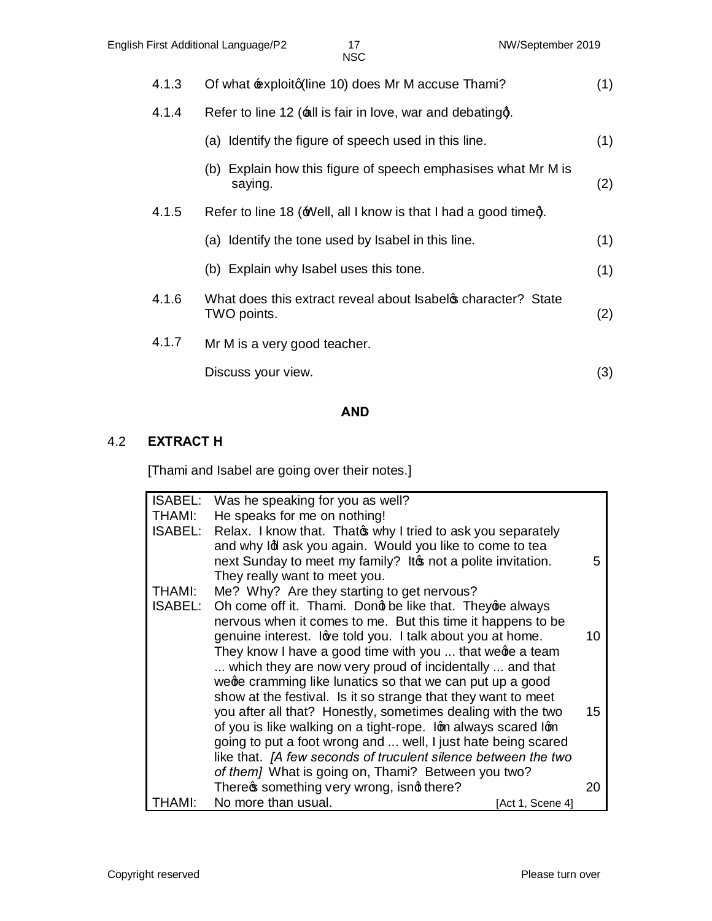| 4.1.3 | Of what $\pm$ xploitg(line 10) does Mr M accuse Thami?                     | (1) |
|-------|----------------------------------------------------------------------------|-----|
| 4.1.4 | Refer to line 12 (all is fair in love, war and debatingg.                  |     |
|       | (a) Identify the figure of speech used in this line.                       | (1) |
|       | (b) Explain how this figure of speech emphasises what Mr M is<br>saying.   | (2) |
| 4.1.5 | Refer to line 18 (Well, all I know is that I had a good timed.             |     |
|       | (a) Identify the tone used by Isabel in this line.                         | (1) |
|       | (b) Explain why Isabel uses this tone.                                     | (1) |
| 4.1.6 | What does this extract reveal about Isabel operacter? State<br>TWO points. | (2) |
| 4.1.7 | Mr M is a very good teacher.                                               |     |
|       | Discuss your view.                                                         | (3) |
|       |                                                                            |     |

## **AND**

#### 4.2 **EXTRACT H**

[Thami and Isabel are going over their notes.]

| <b>ISABEL:</b><br>Was he speaking for you as well?         |                                                                                                                                                                                                                                                                                                                                                                                                                                                                                                                                                                                                                                                                                                                  |
|------------------------------------------------------------|------------------------------------------------------------------------------------------------------------------------------------------------------------------------------------------------------------------------------------------------------------------------------------------------------------------------------------------------------------------------------------------------------------------------------------------------------------------------------------------------------------------------------------------------------------------------------------------------------------------------------------------------------------------------------------------------------------------|
| He speaks for me on nothing!                               |                                                                                                                                                                                                                                                                                                                                                                                                                                                                                                                                                                                                                                                                                                                  |
|                                                            |                                                                                                                                                                                                                                                                                                                                                                                                                                                                                                                                                                                                                                                                                                                  |
|                                                            |                                                                                                                                                                                                                                                                                                                                                                                                                                                                                                                                                                                                                                                                                                                  |
|                                                            | 5                                                                                                                                                                                                                                                                                                                                                                                                                                                                                                                                                                                                                                                                                                                |
| They really want to meet you.                              |                                                                                                                                                                                                                                                                                                                                                                                                                                                                                                                                                                                                                                                                                                                  |
| Me? Why? Are they starting to get nervous?                 |                                                                                                                                                                                                                                                                                                                                                                                                                                                                                                                                                                                                                                                                                                                  |
| Oh come off it. Thami. Dong be like that. They ge always   |                                                                                                                                                                                                                                                                                                                                                                                                                                                                                                                                                                                                                                                                                                                  |
|                                                            |                                                                                                                                                                                                                                                                                                                                                                                                                                                                                                                                                                                                                                                                                                                  |
| genuine interest. love told you. I talk about you at home. | 10                                                                                                                                                                                                                                                                                                                                                                                                                                                                                                                                                                                                                                                                                                               |
| They know I have a good time with you  that wege a team    |                                                                                                                                                                                                                                                                                                                                                                                                                                                                                                                                                                                                                                                                                                                  |
| which they are now very proud of incidentally  and that    |                                                                                                                                                                                                                                                                                                                                                                                                                                                                                                                                                                                                                                                                                                                  |
| wege cramming like lunatics so that we can put up a good   |                                                                                                                                                                                                                                                                                                                                                                                                                                                                                                                                                                                                                                                                                                                  |
|                                                            |                                                                                                                                                                                                                                                                                                                                                                                                                                                                                                                                                                                                                                                                                                                  |
|                                                            | 15                                                                                                                                                                                                                                                                                                                                                                                                                                                                                                                                                                                                                                                                                                               |
|                                                            |                                                                                                                                                                                                                                                                                                                                                                                                                                                                                                                                                                                                                                                                                                                  |
|                                                            |                                                                                                                                                                                                                                                                                                                                                                                                                                                                                                                                                                                                                                                                                                                  |
|                                                            |                                                                                                                                                                                                                                                                                                                                                                                                                                                                                                                                                                                                                                                                                                                  |
|                                                            |                                                                                                                                                                                                                                                                                                                                                                                                                                                                                                                                                                                                                                                                                                                  |
|                                                            | 20                                                                                                                                                                                                                                                                                                                                                                                                                                                                                                                                                                                                                                                                                                               |
| No more than usual.                                        |                                                                                                                                                                                                                                                                                                                                                                                                                                                                                                                                                                                                                                                                                                                  |
|                                                            | Relax. I know that. Thato why I tried to ask you separately<br>and why Id ask you again. Would you like to come to tea<br>next Sunday to meet my family? It not a polite invitation.<br>nervous when it comes to me. But this time it happens to be<br>show at the festival. Is it so strange that they want to meet<br>you after all that? Honestly, sometimes dealing with the two<br>of you is like walking on a tight-rope. Ign always scared Ign<br>going to put a foot wrong and  well, I just hate being scared<br>like that. [A few seconds of truculent silence between the two<br>of them] What is going on, Thami? Between you two?<br>There of something very wrong, isnd there?<br>[Act 1, Scene 4] |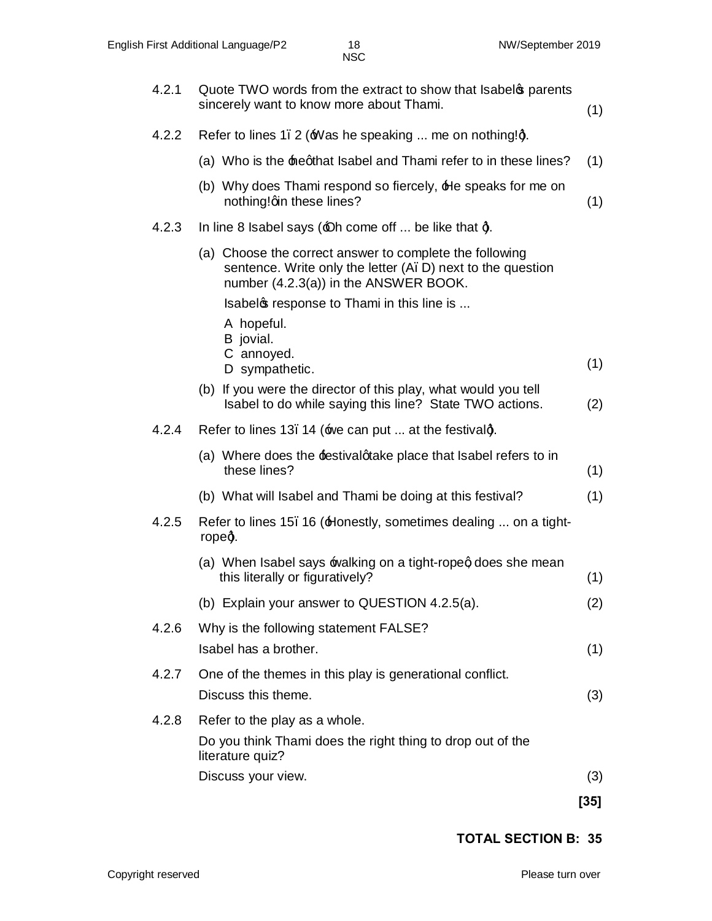| 4.2.1 | Quote TWO words from the extract to show that Isabel parents<br>sincerely want to know more about Thami.                                                        | (1)    |
|-------|-----------------------------------------------------------------------------------------------------------------------------------------------------------------|--------|
| 4.2.2 | Refer to lines 1. 2 (Was he speaking  me on nothing!q.                                                                                                          |        |
|       | (a) Who is the heqthat Isabel and Thami refer to in these lines?                                                                                                | (1)    |
|       | (b) Why does Thami respond so fiercely, He speaks for me on<br>nothing!qin these lines?                                                                         | (1)    |
| 4.2.3 | In line 8 Isabel says $(40h)$ come off  be like that q.                                                                                                         |        |
|       | (a) Choose the correct answer to complete the following<br>sentence. Write only the letter (A. D) next to the question<br>number (4.2.3(a)) in the ANSWER BOOK. |        |
|       | Isabelos response to Thami in this line is                                                                                                                      |        |
|       | A hopeful.<br>B jovial.                                                                                                                                         |        |
|       | C annoyed.<br>D sympathetic.                                                                                                                                    | (1)    |
|       | (b) If you were the director of this play, what would you tell<br>Isabel to do while saying this line? State TWO actions.                                       | (2)    |
| 4.2.4 | Refer to lines 13. 14 (we can put  at the festivalg.                                                                                                            |        |
|       | (a) Where does the festival quarely place that Isabel refers to in<br>these lines?                                                                              | (1)    |
|       | (b) What will Isabel and Thami be doing at this festival?                                                                                                       | (1)    |
| 4.2.5 | Refer to lines 15. 16 (Honestly, sometimes dealing  on a tight-<br>ropeg.                                                                                       |        |
|       | (a) When Isabel says walking on a tight-ropeg does she mean<br>this literally or figuratively?                                                                  | (1)    |
|       | (b) Explain your answer to QUESTION 4.2.5(a).                                                                                                                   | (2)    |
| 4.2.6 | Why is the following statement FALSE?                                                                                                                           |        |
|       | Isabel has a brother.                                                                                                                                           | (1)    |
| 4.2.7 | One of the themes in this play is generational conflict.                                                                                                        |        |
|       | Discuss this theme.                                                                                                                                             | (3)    |
| 4.2.8 | Refer to the play as a whole.                                                                                                                                   |        |
|       | Do you think Thami does the right thing to drop out of the<br>literature quiz?                                                                                  |        |
|       | Discuss your view.                                                                                                                                              | (3)    |
|       |                                                                                                                                                                 | $[35]$ |

 **TOTAL SECTION B: 35**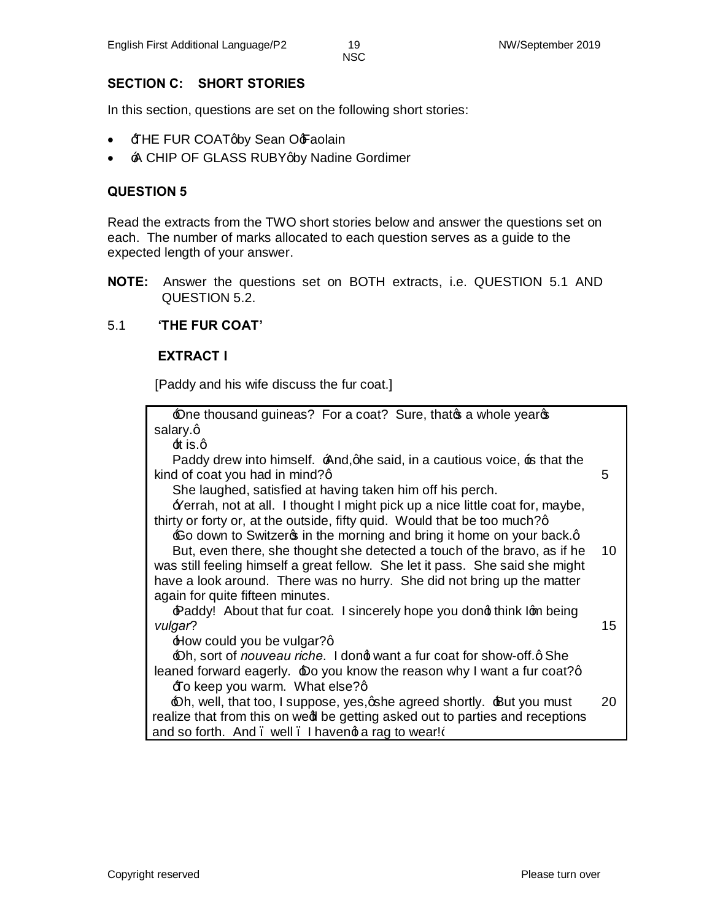#### **SECTION C: SHORT STORIES**

In this section, questions are set on the following short stories:

- $\overline{\text{HHE FUR COAT}}$  Sean O $\overline{\text{F}}$ aolain
- A CHIP OF GLASS RUBY aby Nadine Gordimer

#### **QUESTION 5**

Read the extracts from the TWO short stories below and answer the questions set on each. The number of marks allocated to each question serves as a guide to the expected length of your answer.

**NOTE:** Answer the questions set on BOTH extracts, i.e. QUESTION 5.1 AND QUESTION 5.2.

#### 5.1 **'THE FUR COAT'**

#### **EXTRACT I**

[Paddy and his wife discuss the fur coat.]

| $\triangle$ one thousand guineas? For a coat? Sure, that $\triangle$ a whole year $\triangle$ |                 |
|-----------------------------------------------------------------------------------------------|-----------------|
| salary.q                                                                                      |                 |
| $\pm$ is.q                                                                                    |                 |
| Paddy drew into himself. And, qhe said, in a cautious voice, is that the                      |                 |
| kind of coat you had in mind?q                                                                | 5               |
| She laughed, satisfied at having taken him off his perch.                                     |                 |
| Perrah, not at all. I thought I might pick up a nice little coat for, maybe,                  |                 |
| thirty or forty or, at the outside, fifty quid. Would that be too much?q                      |                 |
| $\pm$ o down to Switzer in the morning and bring it home on your back.q                       |                 |
| But, even there, she thought she detected a touch of the bravo, as if he                      | 10              |
| was still feeling himself a great fellow. She let it pass. She said she might                 |                 |
| have a look around. There was no hurry. She did not bring up the matter                       |                 |
| again for quite fifteen minutes.                                                              |                 |
| Paddy! About that fur coat. I sincerely hope you dong think Ign being                         |                 |
| vulgar?                                                                                       | 15 <sup>1</sup> |
| $\pm$ low could you be vulgar?q                                                               |                 |
| $\triangle$ h, sort of <i>nouveau riche</i> . I dong want a fur coat for show-off.q She       |                 |
| leaned forward eagerly. $\pm$ o you know the reason why I want a fur coat?q                   |                 |
| <b><i>I</i>O</b> keep you warm. What else?q                                                   |                 |
| $\triangle$ h, well, that too, I suppose, yes, oshe agreed shortly. $\triangle$ ut you must   | 20              |
| realize that from this on wed be getting asked out to parties and receptions                  |                 |
| and so forth. And . well. I havend a rag to wear!                                             |                 |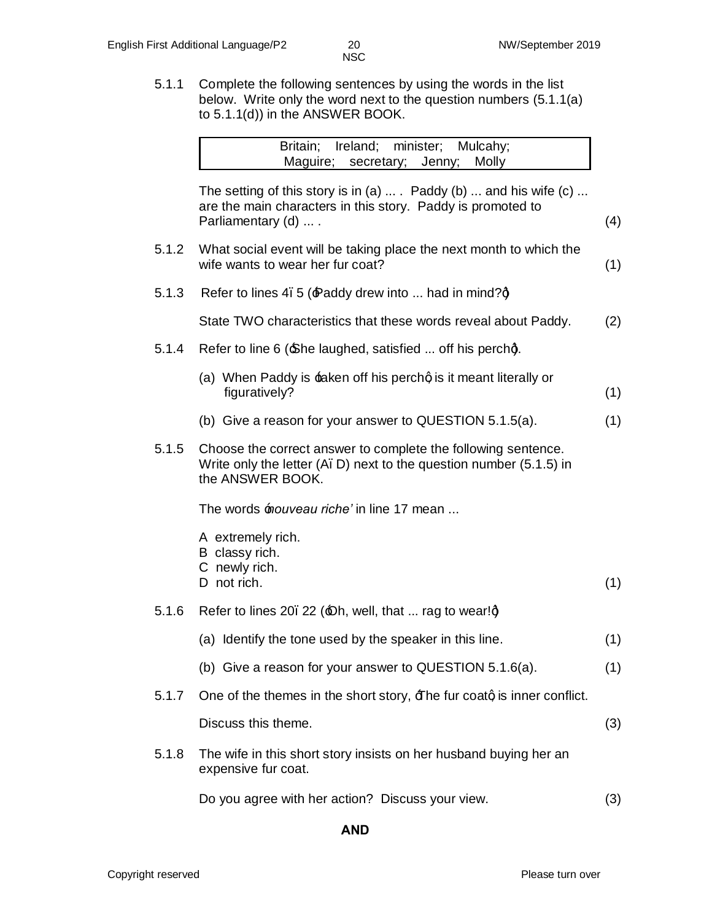5.1.1 Complete the following sentences by using the words in the list below. Write only the word next to the question numbers (5.1.1(a) to 5.1.1(d)) in the ANSWER BOOK.

|       | Ireland; minister; Mulcahy;<br>Britain;<br>Maguire;<br>secretary; Jenny;<br>Molly                                                                                               |     |
|-------|---------------------------------------------------------------------------------------------------------------------------------------------------------------------------------|-----|
|       | The setting of this story is in (a) $\dots$ . Paddy (b) $\dots$ and his wife (c) $\dots$<br>are the main characters in this story. Paddy is promoted to<br>Parliamentary (d)  . | (4) |
| 5.1.2 | What social event will be taking place the next month to which the<br>wife wants to wear her fur coat?                                                                          | (1) |
| 5.1.3 | Refer to lines 4.5 (Paddy drew into  had in mind?q                                                                                                                              |     |
|       | State TWO characteristics that these words reveal about Paddy.                                                                                                                  | (2) |
| 5.1.4 | Refer to line 6 (She laughed, satisfied  off his perchg.                                                                                                                        |     |
|       | (a) When Paddy is <b>taken off his perchg is it meant literally or</b><br>figuratively?                                                                                         | (1) |
|       | (b) Give a reason for your answer to QUESTION $5.1.5(a)$ .                                                                                                                      | (1) |
| 5.1.5 | Choose the correct answer to complete the following sentence.<br>Write only the letter (A. D) next to the question number (5.1.5) in<br>the ANSWER BOOK.                        |     |
|       | The words <i>fouveau riche'</i> in line 17 mean                                                                                                                                 |     |
|       | A extremely rich.<br>B classy rich.<br>C newly rich.                                                                                                                            |     |
|       | D not rich.                                                                                                                                                                     | (1) |
| 5.1.6 | Refer to lines 20. 22 ( $\triangle$ h, well, that  rag to wear! $\dot{q}$                                                                                                       |     |
|       | (a) Identify the tone used by the speaker in this line.                                                                                                                         | (1) |
|       | (b) Give a reason for your answer to QUESTION 5.1.6(a).                                                                                                                         | (1) |
| 5.1.7 | One of the themes in the short story, $\exists$ he fur coatq is inner conflict.                                                                                                 |     |
|       | Discuss this theme.                                                                                                                                                             | (3) |
| 5.1.8 | The wife in this short story insists on her husband buying her an<br>expensive fur coat.                                                                                        |     |

Do you agree with her action? Discuss your view. (3)

**AND**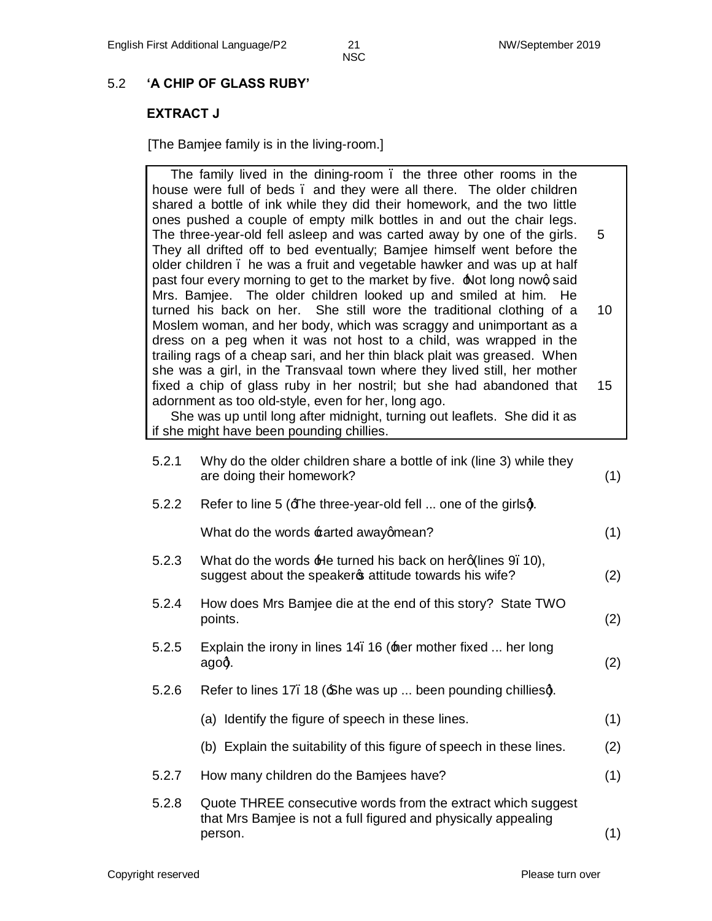## 5.2 **'A CHIP OF GLASS RUBY'**

## **EXTRACT J**

[The Bamjee family is in the living-room.]

|       | The family lived in the dining-room. the three other rooms in the<br>house were full of beds. and they were all there. The older children<br>shared a bottle of ink while they did their homework, and the two little<br>ones pushed a couple of empty milk bottles in and out the chair legs.                                                                              |     |
|-------|-----------------------------------------------------------------------------------------------------------------------------------------------------------------------------------------------------------------------------------------------------------------------------------------------------------------------------------------------------------------------------|-----|
|       | The three-year-old fell asleep and was carted away by one of the girls.<br>They all drifted off to bed eventually; Bamjee himself went before the<br>older children. he was a fruit and vegetable hawker and was up at half<br>past four every morning to get to the market by five. Alot long nowg said<br>Mrs. Bamjee. The older children looked up and smiled at him. He | 5   |
|       | turned his back on her. She still wore the traditional clothing of a<br>Moslem woman, and her body, which was scraggy and unimportant as a<br>dress on a peg when it was not host to a child, was wrapped in the<br>trailing rags of a cheap sari, and her thin black plait was greased. When                                                                               | 10  |
|       | she was a girl, in the Transvaal town where they lived still, her mother<br>fixed a chip of glass ruby in her nostril; but she had abandoned that<br>adornment as too old-style, even for her, long ago.<br>She was up until long after midnight, turning out leaflets. She did it as<br>if she might have been pounding chillies.                                          | 15  |
| 5.2.1 | Why do the older children share a bottle of ink (line 3) while they<br>are doing their homework?                                                                                                                                                                                                                                                                            | (1) |
| 5.2.2 | Refer to line 5 (Ene three-year-old fell  one of the girlsq.                                                                                                                                                                                                                                                                                                                |     |
|       | What do the words carted awayqmean?                                                                                                                                                                                                                                                                                                                                         | (1) |
| 5.2.3 | What do the words $\pm$ le turned his back on herg(lines 9.10),<br>suggest about the speakers attitude towards his wife?                                                                                                                                                                                                                                                    | (2) |
| 5.2.4 | How does Mrs Bamjee die at the end of this story? State TWO<br>points.                                                                                                                                                                                                                                                                                                      | (2) |
| 5.2.5 | Explain the irony in lines 14. 16 (the mother fixed  her long<br>agog.                                                                                                                                                                                                                                                                                                      | (2) |
| 5.2.6 | Refer to lines 17. 18 (£he was up  been pounding chilliesg.                                                                                                                                                                                                                                                                                                                 |     |
|       | (a) Identify the figure of speech in these lines.                                                                                                                                                                                                                                                                                                                           | (1) |
|       | (b) Explain the suitability of this figure of speech in these lines.                                                                                                                                                                                                                                                                                                        | (2) |
| 5.2.7 | How many children do the Bamjees have?                                                                                                                                                                                                                                                                                                                                      | (1) |
| 5.2.8 | Quote THREE consecutive words from the extract which suggest<br>that Mrs Bamjee is not a full figured and physically appealing<br>person.                                                                                                                                                                                                                                   | (1) |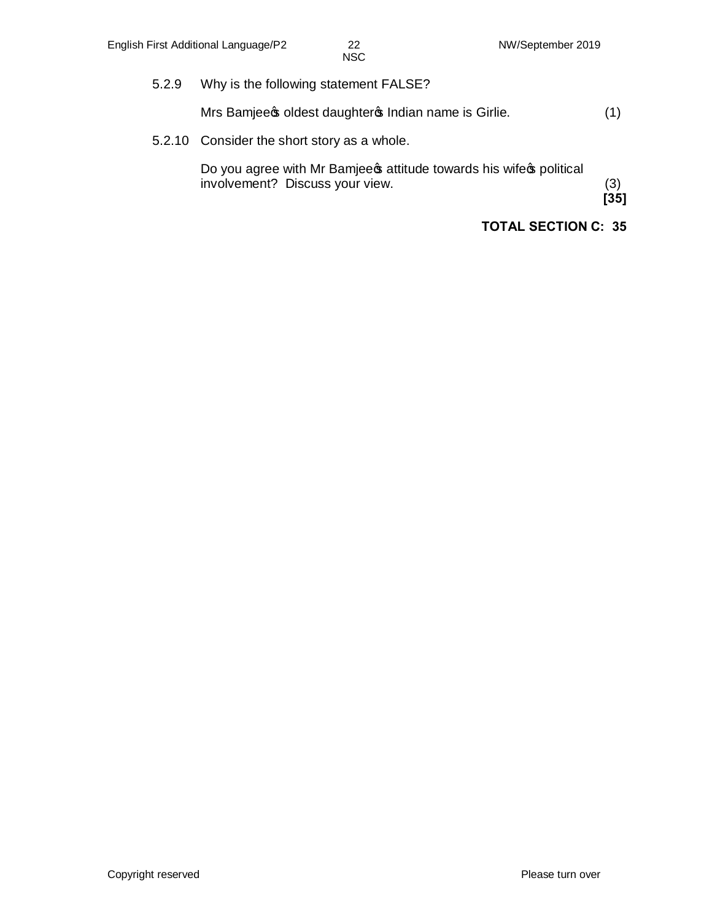5.2.9 Why is the following statement FALSE?

Mrs Bamjee  $\phi$  oldest daughter  $\phi$  Indian name is Girlie. (1)

5.2.10 Consider the short story as a whole.

Do you agree with Mr Bamjee sattitude towards his wife opolitical involvement? Discuss your view. (3)

**[35]**

#### **TOTAL SECTION C: 35**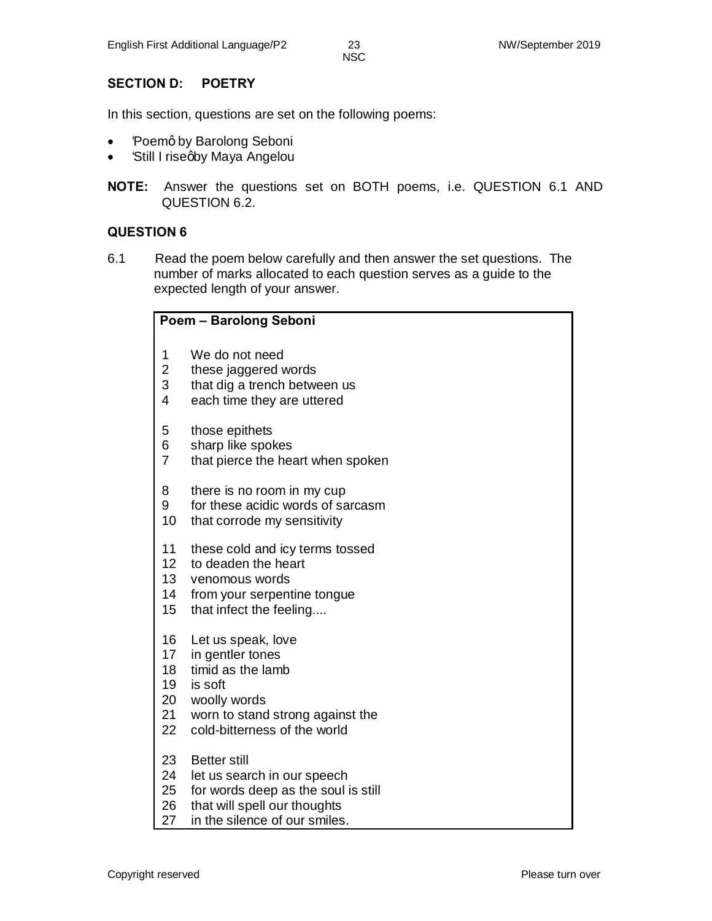#### **SECTION D: POETRY**

In this section, questions are set on the following poems:

- Poemq by Barolong Seboni
- *'Still I riseqby Maya Angelou*
- **NOTE:** Answer the questions set on BOTH poems, i.e. QUESTION 6.1 AND QUESTION 6.2.

#### **QUESTION 6**

6.1 Read the poem below carefully and then answer the set questions. The number of marks allocated to each question serves as a guide to the expected length of your answer.

|                         | Poem - Barolong Seboni              |  |  |  |  |
|-------------------------|-------------------------------------|--|--|--|--|
| 1                       | We do not need                      |  |  |  |  |
| $\overline{\mathbf{c}}$ | these jaggered words                |  |  |  |  |
| 3                       | that dig a trench between us        |  |  |  |  |
| $\overline{4}$          | each time they are uttered          |  |  |  |  |
| 5                       | those epithets                      |  |  |  |  |
| 6                       | sharp like spokes                   |  |  |  |  |
| $\overline{7}$          | that pierce the heart when spoken   |  |  |  |  |
| 8                       | there is no room in my cup          |  |  |  |  |
| 9                       | for these acidic words of sarcasm   |  |  |  |  |
| 10                      | that corrode my sensitivity         |  |  |  |  |
| 11                      | these cold and icy terms tossed     |  |  |  |  |
| 12                      | to deaden the heart                 |  |  |  |  |
| 13                      | venomous words                      |  |  |  |  |
| 14                      | from your serpentine tongue         |  |  |  |  |
| 15                      | that infect the feeling             |  |  |  |  |
| 16                      | Let us speak, love                  |  |  |  |  |
| 17                      | in gentler tones                    |  |  |  |  |
| 18                      | timid as the lamb                   |  |  |  |  |
| 19                      | is soft                             |  |  |  |  |
| 20                      | woolly words                        |  |  |  |  |
| 21                      | worn to stand strong against the    |  |  |  |  |
| 22                      | cold-bitterness of the world        |  |  |  |  |
| 23                      | <b>Better still</b>                 |  |  |  |  |
| 24                      | let us search in our speech         |  |  |  |  |
| 25                      | for words deep as the soul is still |  |  |  |  |
| 26                      | that will spell our thoughts        |  |  |  |  |
| 27                      | in the silence of our smiles.       |  |  |  |  |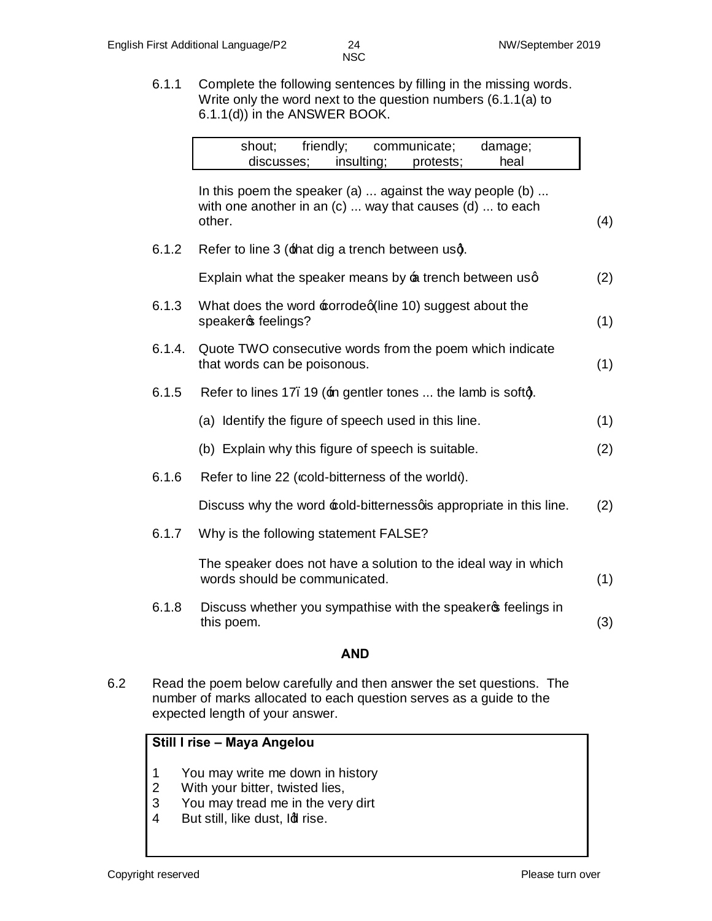6.1.1 Complete the following sentences by filling in the missing words. Write only the word next to the question numbers (6.1.1(a) to 6.1.1(d)) in the ANSWER BOOK.

NSC

| friendly;<br>shout;<br>communicate;<br>damage;<br>insulting;<br>discusses;<br>heal<br>protests;                                                 |     |
|-------------------------------------------------------------------------------------------------------------------------------------------------|-----|
| In this poem the speaker (a) $\dots$ against the way people (b) $\dots$<br>with one another in an $(c)$ way that causes $(d)$ to each<br>other. | (4) |
| 6.1.2<br>Refer to line 3 (that dig a trench between usq.                                                                                        |     |
| Explain what the speaker means by a trench between usq                                                                                          | (2) |
| 6.1.3<br>What does the word corrodeq(line 10) suggest about the<br>speakers feelings?                                                           | (1) |
| 6.1.4.<br>Quote TWO consecutive words from the poem which indicate<br>that words can be poisonous.                                              | (1) |
| 6.1.5<br>Refer to lines 17. 19 (in gentler tones  the lamb is softg.                                                                            |     |
| (a) Identify the figure of speech used in this line.                                                                                            | (1) |
| (b) Explain why this figure of speech is suitable.                                                                                              | (2) |
| 6.1.6<br>Refer to line 22 (cold-bitterness of the world).                                                                                       |     |
| Discuss why the word cold-bitternessqis appropriate in this line.                                                                               | (2) |
| 6.1.7<br>Why is the following statement FALSE?                                                                                                  |     |
| The speaker does not have a solution to the ideal way in which<br>words should be communicated.                                                 | (1) |
| 6.1.8<br>Discuss whether you sympathise with the speaker of feelings in<br>this poem.                                                           | (3) |

#### **AND**

6.2 Read the poem below carefully and then answer the set questions. The number of marks allocated to each question serves as a guide to the expected length of your answer.

#### **Still I rise – Maya Angelou**

- 1 You may write me down in history
- 2 With your bitter, twisted lies,
- 3 You may tread me in the very dirt
- 4 But still, like dust, Idl rise.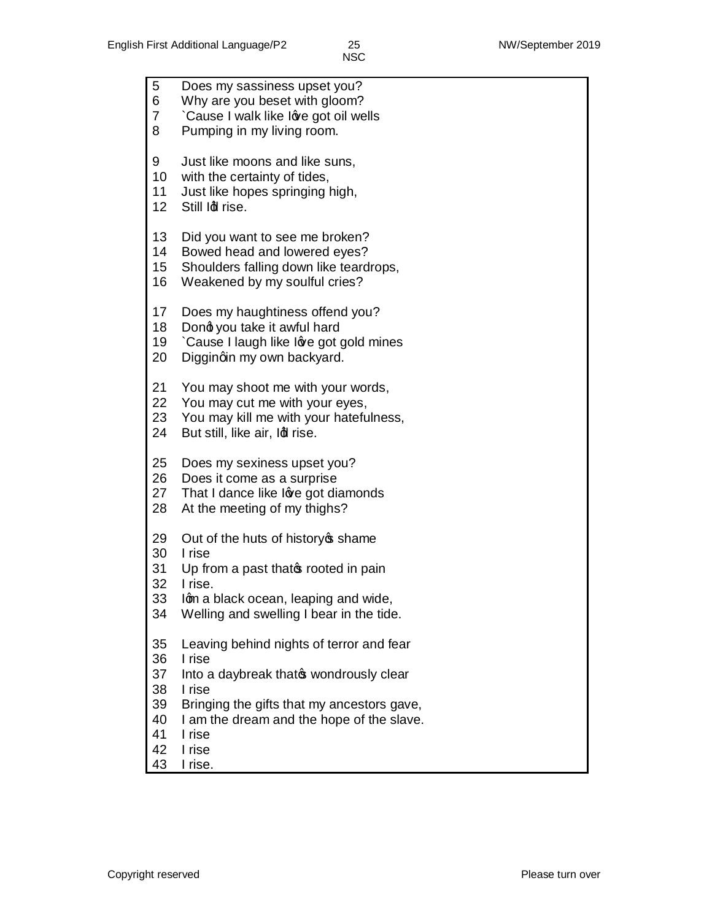| 5<br>6<br>7<br>8                                   | Does my sassiness upset you?<br>Why are you beset with gloom?<br>Cause I walk like love got oil wells<br>Pumping in my living room.                                                                                             |
|----------------------------------------------------|---------------------------------------------------------------------------------------------------------------------------------------------------------------------------------------------------------------------------------|
| 9<br>10<br>11<br>12 <sub>2</sub>                   | Just like moons and like suns,<br>with the certainty of tides,<br>Just like hopes springing high,<br>Still Idl rise.                                                                                                            |
| 13<br>14<br>15 <sub>2</sub><br>16                  | Did you want to see me broken?<br>Bowed head and lowered eyes?<br>Shoulders falling down like teardrops,<br>Weakened by my soulful cries?                                                                                       |
| 17<br>18<br>19<br>20                               | Does my haughtiness offend you?<br>Dong you take it awful hard<br>Cause I laugh like love got gold mines<br>Diggingin my own backyard.                                                                                          |
| 21<br>22<br>23<br>24                               | You may shoot me with your words,<br>You may cut me with your eyes,<br>You may kill me with your hatefulness,<br>But still, like air, Idl rise.                                                                                 |
| 25<br>26<br>27<br>28                               | Does my sexiness upset you?<br>Does it come as a surprise<br>That I dance like love got diamonds<br>At the meeting of my thighs?                                                                                                |
| 29<br>30<br>31<br>32<br>33<br>34                   | Out of the huts of history of shame<br>I rise<br>Up from a past that prooted in pain<br>I rise.<br>Iqm a black ocean, leaping and wide,<br>Welling and swelling I bear in the tide.                                             |
| 35<br>36<br>37<br>38<br>39<br>40<br>41<br>42<br>43 | Leaving behind nights of terror and fear<br>I rise<br>Into a daybreak that wondrously clear<br>I rise<br>Bringing the gifts that my ancestors gave,<br>I am the dream and the hope of the slave.<br>I rise<br>I rise<br>I rise. |